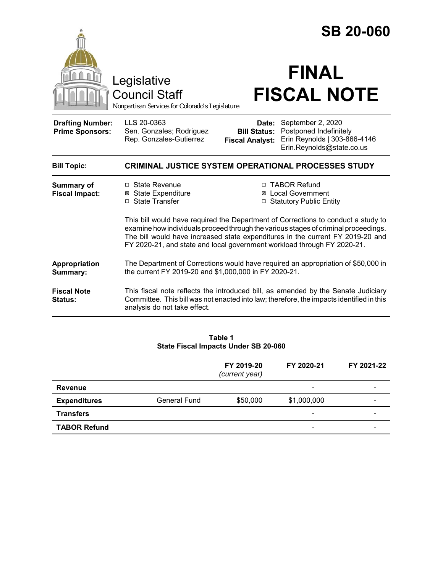|                                                   | Legislative<br><b>Council Staff</b><br>Nonpartisan Services for Colorado's Legislature                                                                                                                                                                                                                                                                                                                                                                                             | <b>SB 20-060</b><br><b>FINAL</b><br><b>FISCAL NOTE</b>                                                                                                                        |  |  |  |
|---------------------------------------------------|------------------------------------------------------------------------------------------------------------------------------------------------------------------------------------------------------------------------------------------------------------------------------------------------------------------------------------------------------------------------------------------------------------------------------------------------------------------------------------|-------------------------------------------------------------------------------------------------------------------------------------------------------------------------------|--|--|--|
| <b>Drafting Number:</b><br><b>Prime Sponsors:</b> | LLS 20-0363<br>Sen. Gonzales; Rodriguez<br>Rep. Gonzales-Gutierrez                                                                                                                                                                                                                                                                                                                                                                                                                 | Date: September 2, 2020<br>Postponed Indefinitely<br><b>Bill Status:</b><br>Erin Reynolds   303-866-4146<br><b>Fiscal Analyst:</b><br>Erin.Reynolds@state.co.us               |  |  |  |
| <b>Bill Topic:</b>                                | <b>CRIMINAL JUSTICE SYSTEM OPERATIONAL PROCESSES STUDY</b>                                                                                                                                                                                                                                                                                                                                                                                                                         |                                                                                                                                                                               |  |  |  |
| <b>Summary of</b><br><b>Fiscal Impact:</b>        | □ State Revenue<br>□ TABOR Refund<br><b>State Expenditure</b><br>⊠ Local Government<br>⊠<br>□ State Transfer<br>□ Statutory Public Entity<br>This bill would have required the Department of Corrections to conduct a study to<br>examine how individuals proceed through the various stages of criminal proceedings.<br>The bill would have increased state expenditures in the current FY 2019-20 and<br>FY 2020-21, and state and local government workload through FY 2020-21. |                                                                                                                                                                               |  |  |  |
| Appropriation<br>Summary:                         | The Department of Corrections would have required an appropriation of \$50,000 in<br>the current FY 2019-20 and \$1,000,000 in FY 2020-21.                                                                                                                                                                                                                                                                                                                                         |                                                                                                                                                                               |  |  |  |
| <b>Fiscal Note</b><br>Status:                     | analysis do not take effect.                                                                                                                                                                                                                                                                                                                                                                                                                                                       | This fiscal note reflects the introduced bill, as amended by the Senate Judiciary<br>Committee. This bill was not enacted into law; therefore, the impacts identified in this |  |  |  |
|                                                   |                                                                                                                                                                                                                                                                                                                                                                                                                                                                                    |                                                                                                                                                                               |  |  |  |

#### **Table 1 State Fiscal Impacts Under SB 20-060**

|                     |                     | FY 2019-20<br>(current year) | FY 2020-21               | FY 2021-22               |
|---------------------|---------------------|------------------------------|--------------------------|--------------------------|
| <b>Revenue</b>      |                     |                              | $\overline{\phantom{0}}$ | -                        |
| <b>Expenditures</b> | <b>General Fund</b> | \$50,000                     | \$1,000,000              | $\overline{\phantom{0}}$ |
| <b>Transfers</b>    |                     |                              | $\overline{\phantom{a}}$ | $\overline{\phantom{0}}$ |
| <b>TABOR Refund</b> |                     |                              | -                        |                          |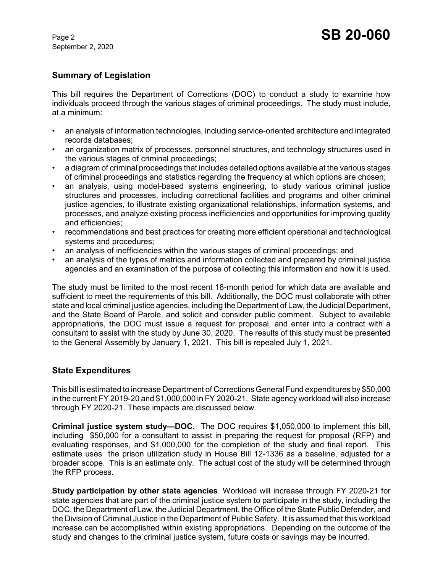September 2, 2020

# **Summary of Legislation**

This bill requires the Department of Corrections (DOC) to conduct a study to examine how individuals proceed through the various stages of criminal proceedings. The study must include, at a minimum:

- an analysis of information technologies, including service-oriented architecture and integrated records databases;
- an organization matrix of processes, personnel structures, and technology structures used in the various stages of criminal proceedings;
- a diagram of criminal proceedings that includes detailed options available at the various stages of criminal proceedings and statistics regarding the frequency at which options are chosen;
- an analysis, using model-based systems engineering, to study various criminal justice structures and processes, including correctional facilities and programs and other criminal justice agencies, to illustrate existing organizational relationships, information systems, and processes, and analyze existing process inefficiencies and opportunities for improving quality and efficiencies;
- recommendations and best practices for creating more efficient operational and technological systems and procedures;
- an analysis of inefficiencies within the various stages of criminal proceedings; and
- an analysis of the types of metrics and information collected and prepared by criminal justice agencies and an examination of the purpose of collecting this information and how it is used.

The study must be limited to the most recent 18-month period for which data are available and sufficient to meet the requirements of this bill. Additionally, the DOC must collaborate with other state and local criminal justice agencies, including the Department of Law, the Judicial Department, and the State Board of Parole, and solicit and consider public comment. Subject to available appropriations, the DOC must issue a request for proposal, and enter into a contract with a consultant to assist with the study by June 30, 2020. The results of this study must be presented to the General Assembly by January 1, 2021. This bill is repealed July 1, 2021.

## **State Expenditures**

This bill is estimated to increase Department of Corrections General Fund expenditures by \$50,000 in the current FY 2019-20 and \$1,000,000 in FY 2020-21. State agency workload will also increase through FY 2020-21. These impacts are discussed below.

**Criminal justice system study—DOC.** The DOC requires \$1,050,000 to implement this bill, including \$50,000 for a consultant to assist in preparing the request for proposal (RFP) and evaluating responses, and \$1,000,000 for the completion of the study and final report. This estimate uses the prison utilization study in House Bill 12-1336 as a baseline, adjusted for a broader scope. This is an estimate only. The actual cost of the study will be determined through the RFP process.

**Study participation by other state agencies**. Workload will increase through FY 2020-21 for state agencies that are part of the criminal justice system to participate in the study, including the DOC, the Department of Law, the Judicial Department, the Office of the State Public Defender, and the Division of Criminal Justice in the Department of Public Safety. It is assumed that this workload increase can be accomplished within existing appropriations. Depending on the outcome of the study and changes to the criminal justice system, future costs or savings may be incurred.